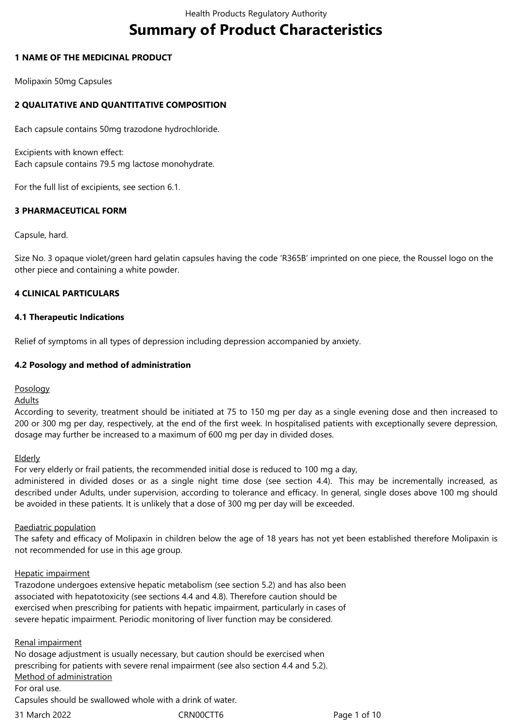# **Summary of Product Characteristics**

## **1 NAME OF THE MEDICINAL PRODUCT**

Molipaxin 50mg Capsules

# **2 QUALITATIVE AND QUANTITATIVE COMPOSITION**

Each capsule contains 50mg trazodone hydrochloride.

Excipients with known effect: Each capsule contains 79.5 mg lactose monohydrate.

For the full list of excipients, see section 6.1.

## **3 PHARMACEUTICAL FORM**

Capsule, hard.

Size No. 3 opaque violet/green hard gelatin capsules having the code 'R365B' imprinted on one piece, the Roussel logo on the other piece and containing a white powder.

## **4 CLINICAL PARTICULARS**

## **4.1 Therapeutic Indications**

Relief of symptoms in all types of depression including depression accompanied by anxiety.

## **4.2 Posology and method of administration**

Posology

**Adults** 

According to severity, treatment should be initiated at 75 to 150 mg per day as a single evening dose and then increased to 200 or 300 mg per day, respectively, at the end of the first week. In hospitalised patients with exceptionally severe depression, dosage may further be increased to a maximum of 600 mg per day in divided doses.

#### Elderly

For very elderly or frail patients, the recommended initial dose is reduced to 100 mg a day,

administered in divided doses or as a single night time dose (see section 4.4). This may be incrementally increased, as described under Adults, under supervision, according to tolerance and efficacy. In general, single doses above 100 mg should be avoided in these patients. It is unlikely that a dose of 300 mg per day will be exceeded.

#### Paediatric population

The safety and efficacy of Molipaxin in children below the age of 18 years has not yet been established therefore Molipaxin is not recommended for use in this age group.

#### Hepatic impairment

Trazodone undergoes extensive hepatic metabolism (see section 5.2) and has also been associated with hepatotoxicity (see sections 4.4 and 4.8). Therefore caution should be exercised when prescribing for patients with hepatic impairment, particularly in cases of severe hepatic impairment. Periodic monitoring of liver function may be considered.

#### Renal impairment

No dosage adjustment is usually necessary, but caution should be exercised when prescribing for patients with severe renal impairment (see also section 4.4 and 5.2). Method of administration

#### For oral use.

Capsules should be swallowed whole with a drink of water.

31 March 2022 **CRNOOCTT6** CRNOOCTT6 Page 1 of 10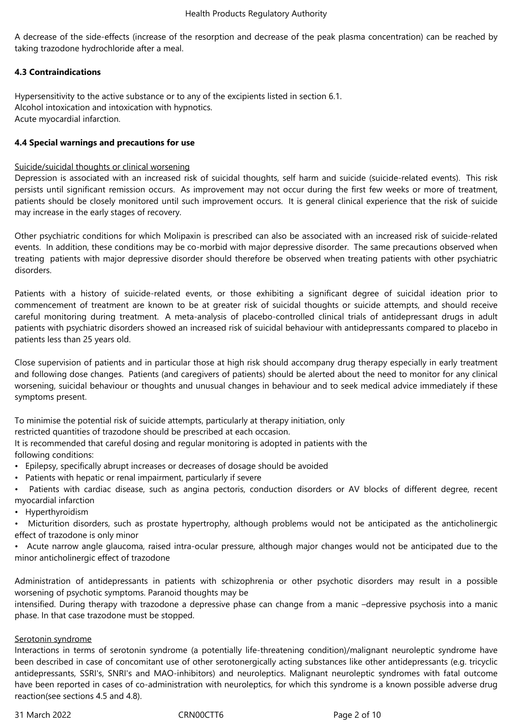A decrease of the side-effects (increase of the resorption and decrease of the peak plasma concentration) can be reached by taking trazodone hydrochloride after a meal.

# **4.3 Contraindications**

Hypersensitivity to the active substance or to any of the excipients listed in section 6.1. Alcohol intoxication and intoxication with hypnotics. Acute myocardial infarction.

## **4.4 Special warnings and precautions for use**

## Suicide/suicidal thoughts or clinical worsening

Depression is associated with an increased risk of suicidal thoughts, self harm and suicide (suicide-related events). This risk persists until significant remission occurs. As improvement may not occur during the first few weeks or more of treatment, patients should be closely monitored until such improvement occurs. It is general clinical experience that the risk of suicide may increase in the early stages of recovery.

Other psychiatric conditions for which Molipaxin is prescribed can also be associated with an increased risk of suicide-related events. In addition, these conditions may be co-morbid with major depressive disorder. The same precautions observed when treating patients with major depressive disorder should therefore be observed when treating patients with other psychiatric disorders.

Patients with a history of suicide-related events, or those exhibiting a significant degree of suicidal ideation prior to commencement of treatment are known to be at greater risk of suicidal thoughts or suicide attempts, and should receive careful monitoring during treatment. A meta-analysis of placebo-controlled clinical trials of antidepressant drugs in adult patients with psychiatric disorders showed an increased risk of suicidal behaviour with antidepressants compared to placebo in patients less than 25 years old.

Close supervision of patients and in particular those at high risk should accompany drug therapy especially in early treatment and following dose changes. Patients (and caregivers of patients) should be alerted about the need to monitor for any clinical worsening, suicidal behaviour or thoughts and unusual changes in behaviour and to seek medical advice immediately if these symptoms present.

To minimise the potential risk of suicide attempts, particularly at therapy initiation, only

restricted quantities of trazodone should be prescribed at each occasion.

It is recommended that careful dosing and regular monitoring is adopted in patients with the following conditions:

- Epilepsy, specifically abrupt increases or decreases of dosage should be avoided
- Patients with hepatic or renal impairment, particularly if severe
- Patients with cardiac disease, such as angina pectoris, conduction disorders or AV blocks of different degree, recent myocardial infarction
- Hyperthyroidism

• Micturition disorders, such as prostate hypertrophy, although problems would not be anticipated as the anticholinergic effect of trazodone is only minor

• Acute narrow angle glaucoma, raised intra-ocular pressure, although major changes would not be anticipated due to the minor anticholinergic effect of trazodone

Administration of antidepressants in patients with schizophrenia or other psychotic disorders may result in a possible worsening of psychotic symptoms. Paranoid thoughts may be

intensified. During therapy with trazodone a depressive phase can change from a manic –depressive psychosis into a manic phase. In that case trazodone must be stopped.

## Serotonin syndrome

Interactions in terms of serotonin syndrome (a potentially life-threatening condition)/malignant neuroleptic syndrome have been described in case of concomitant use of other serotonergically acting substances like other antidepressants (e.g. tricyclic antidepressants, SSRI's, SNRI's and MAO-inhibitors) and neuroleptics. Malignant neuroleptic syndromes with fatal outcome have been reported in cases of co-administration with neuroleptics, for which this syndrome is a known possible adverse drug reaction(see sections 4.5 and 4.8).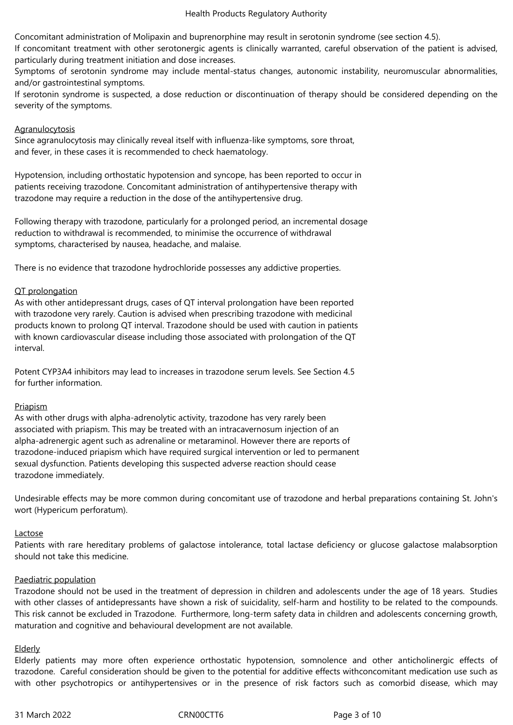Concomitant administration of Molipaxin and buprenorphine may result in serotonin syndrome (see section 4.5).

If concomitant treatment with other serotonergic agents is clinically warranted, careful observation of the patient is advised, particularly during treatment initiation and dose increases.

Symptoms of serotonin syndrome may include mental-status changes, autonomic instability, neuromuscular abnormalities, and/or gastrointestinal symptoms.

If serotonin syndrome is suspected, a dose reduction or discontinuation of therapy should be considered depending on the severity of the symptoms.

#### Agranulocytosis

Since agranulocytosis may clinically reveal itself with influenza-like symptoms, sore throat, and fever, in these cases it is recommended to check haematology.

Hypotension, including orthostatic hypotension and syncope, has been reported to occur in patients receiving trazodone. Concomitant administration of antihypertensive therapy with trazodone may require a reduction in the dose of the antihypertensive drug.

Following therapy with trazodone, particularly for a prolonged period, an incremental dosage reduction to withdrawal is recommended, to minimise the occurrence of withdrawal symptoms, characterised by nausea, headache, and malaise.

There is no evidence that trazodone hydrochloride possesses any addictive properties.

## QT prolongation

As with other antidepressant drugs, cases of QT interval prolongation have been reported with trazodone very rarely. Caution is advised when prescribing trazodone with medicinal products known to prolong QT interval. Trazodone should be used with caution in patients with known cardiovascular disease including those associated with prolongation of the QT interval.

Potent CYP3A4 inhibitors may lead to increases in trazodone serum levels. See Section 4.5 for further information.

#### Priapism

As with other drugs with alpha-adrenolytic activity, trazodone has very rarely been associated with priapism. This may be treated with an intracavernosum injection of an alpha-adrenergic agent such as adrenaline or metaraminol. However there are reports of trazodone-induced priapism which have required surgical intervention or led to permanent sexual dysfunction. Patients developing this suspected adverse reaction should cease trazodone immediately.

Undesirable effects may be more common during concomitant use of trazodone and herbal preparations containing St. John's wort (Hypericum perforatum).

#### Lactose

Patients with rare hereditary problems of galactose intolerance, total lactase deficiency or glucose galactose malabsorption should not take this medicine.

## Paediatric population

Trazodone should not be used in the treatment of depression in children and adolescents under the age of 18 years. Studies with other classes of antidepressants have shown a risk of suicidality, self-harm and hostility to be related to the compounds. This risk cannot be excluded in Trazodone. Furthermore, long-term safety data in children and adolescents concerning growth, maturation and cognitive and behavioural development are not available.

#### Elderly

Elderly patients may more often experience orthostatic hypotension, somnolence and other anticholinergic effects of trazodone. Careful consideration should be given to the potential for additive effects withconcomitant medication use such as with other psychotropics or antihypertensives or in the presence of risk factors such as comorbid disease, which may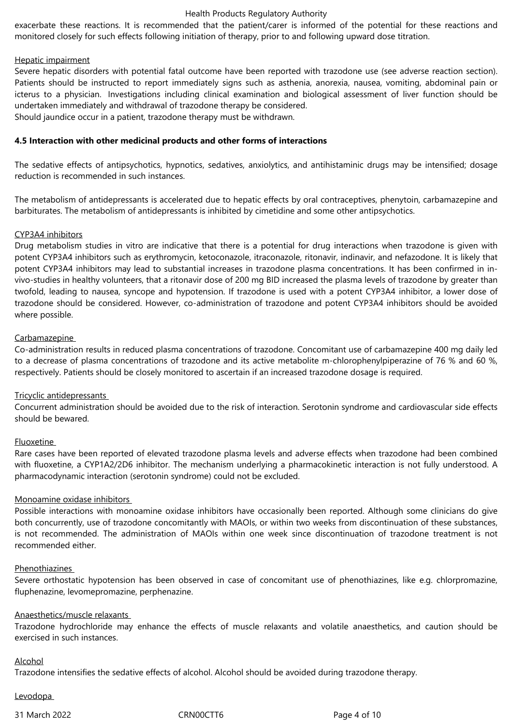#### Health Products Regulatory Authority

exacerbate these reactions. It is recommended that the patient/carer is informed of the potential for these reactions and monitored closely for such effects following initiation of therapy, prior to and following upward dose titration.

#### Hepatic impairment

Severe hepatic disorders with potential fatal outcome have been reported with trazodone use (see adverse reaction section). Patients should be instructed to report immediately signs such as asthenia, anorexia, nausea, vomiting, abdominal pain or icterus to a physician. Investigations including clinical examination and biological assessment of liver function should be undertaken immediately and withdrawal of trazodone therapy be considered. Should jaundice occur in a patient, trazodone therapy must be withdrawn.

**4.5 Interaction with other medicinal products and other forms of interactions**

The sedative effects of antipsychotics, hypnotics, sedatives, anxiolytics, and antihistaminic drugs may be intensified; dosage reduction is recommended in such instances.

The metabolism of antidepressants is accelerated due to hepatic effects by oral contraceptives, phenytoin, carbamazepine and barbiturates. The metabolism of antidepressants is inhibited by cimetidine and some other antipsychotics.

#### CYP3A4 inhibitors

Drug metabolism studies in vitro are indicative that there is a potential for drug interactions when trazodone is given with potent CYP3A4 inhibitors such as erythromycin, ketoconazole, itraconazole, ritonavir, indinavir, and nefazodone. It is likely that potent CYP3A4 inhibitors may lead to substantial increases in trazodone plasma concentrations. It has been confirmed in invivo-studies in healthy volunteers, that a ritonavir dose of 200 mg BID increased the plasma levels of trazodone by greater than twofold, leading to nausea, syncope and hypotension. If trazodone is used with a potent CYP3A4 inhibitor, a lower dose of trazodone should be considered. However, co-administration of trazodone and potent CYP3A4 inhibitors should be avoided where possible.

#### Carbamazepine

Co-administration results in reduced plasma concentrations of trazodone. Concomitant use of carbamazepine 400 mg daily led to a decrease of plasma concentrations of trazodone and its active metabolite m-chlorophenylpiperazine of 76 % and 60 %, respectively. Patients should be closely monitored to ascertain if an increased trazodone dosage is required.

#### Tricyclic antidepressants

Concurrent administration should be avoided due to the risk of interaction. Serotonin syndrome and cardiovascular side effects should be bewared.

#### Fluoxetine

Rare cases have been reported of elevated trazodone plasma levels and adverse effects when trazodone had been combined with fluoxetine, a CYP1A2/2D6 inhibitor. The mechanism underlying a pharmacokinetic interaction is not fully understood. A pharmacodynamic interaction (serotonin syndrome) could not be excluded.

#### Monoamine oxidase inhibitors

Possible interactions with monoamine oxidase inhibitors have occasionally been reported. Although some clinicians do give both concurrently, use of trazodone concomitantly with MAOIs, or within two weeks from discontinuation of these substances, is not recommended. The administration of MAOIs within one week since discontinuation of trazodone treatment is not recommended either.

#### Phenothiazines

Severe orthostatic hypotension has been observed in case of concomitant use of phenothiazines, like e.g. chlorpromazine, fluphenazine, levomepromazine, perphenazine.

#### Anaesthetics/muscle relaxants

Trazodone hydrochloride may enhance the effects of muscle relaxants and volatile anaesthetics, and caution should be exercised in such instances.

#### Alcohol

Trazodone intensifies the sedative effects of alcohol. Alcohol should be avoided during trazodone therapy.

Levodopa

31 March 2022 CRN00CTT6 Page 4 of 10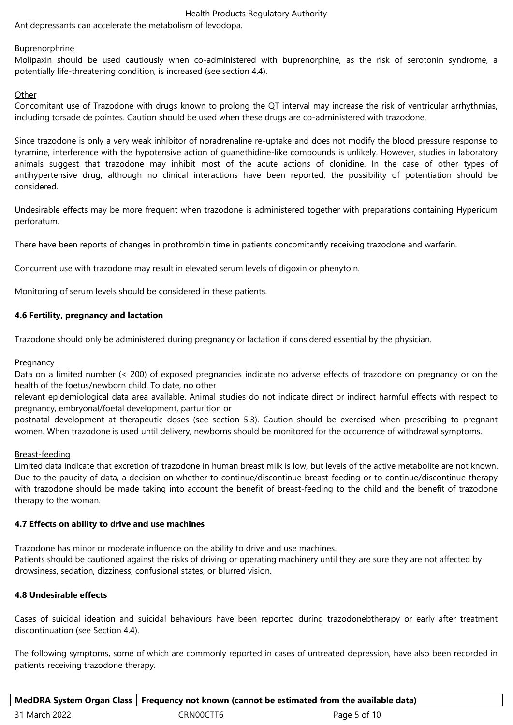#### Health Products Regulatory Authority

Antidepressants can accelerate the metabolism of levodopa.

#### Buprenorphrine

Molipaxin should be used cautiously when co-administered with buprenorphine, as the risk of serotonin syndrome, a potentially life-threatening condition, is increased (see section 4.4).

## **Other**

Concomitant use of Trazodone with drugs known to prolong the QT interval may increase the risk of ventricular arrhythmias, including torsade de pointes. Caution should be used when these drugs are co-administered with trazodone.

Since trazodone is only a very weak inhibitor of noradrenaline re-uptake and does not modify the blood pressure response to tyramine, interference with the hypotensive action of guanethidine-like compounds is unlikely. However, studies in laboratory animals suggest that trazodone may inhibit most of the acute actions of clonidine. In the case of other types of antihypertensive drug, although no clinical interactions have been reported, the possibility of potentiation should be considered.

Undesirable effects may be more frequent when trazodone is administered together with preparations containing Hypericum perforatum.

There have been reports of changes in prothrombin time in patients concomitantly receiving trazodone and warfarin.

Concurrent use with trazodone may result in elevated serum levels of digoxin or phenytoin.

Monitoring of serum levels should be considered in these patients.

## **4.6 Fertility, pregnancy and lactation**

Trazodone should only be administered during pregnancy or lactation if considered essential by the physician.

#### **Pregnancy**

Data on a limited number (< 200) of exposed pregnancies indicate no adverse effects of trazodone on pregnancy or on the health of the foetus/newborn child. To date, no other

relevant epidemiological data area available. Animal studies do not indicate direct or indirect harmful effects with respect to pregnancy, embryonal/foetal development, parturition or

postnatal development at therapeutic doses (see section 5.3). Caution should be exercised when prescribing to pregnant women. When trazodone is used until delivery, newborns should be monitored for the occurrence of withdrawal symptoms.

#### Breast-feeding

Limited data indicate that excretion of trazodone in human breast milk is low, but levels of the active metabolite are not known. Due to the paucity of data, a decision on whether to continue/discontinue breast-feeding or to continue/discontinue therapy with trazodone should be made taking into account the benefit of breast-feeding to the child and the benefit of trazodone therapy to the woman.

#### **4.7 Effects on ability to drive and use machines**

Trazodone has minor or moderate influence on the ability to drive and use machines. Patients should be cautioned against the risks of driving or operating machinery until they are sure they are not affected by drowsiness, sedation, dizziness, confusional states, or blurred vision.

## **4.8 Undesirable effects**

Cases of suicidal ideation and suicidal behaviours have been reported during trazodonebtherapy or early after treatment discontinuation (see Section 4.4).

The following symptoms, some of which are commonly reported in cases of untreated depression, have also been recorded in patients receiving trazodone therapy.

|               |           | MedDRA System Organ Class   Frequency not known (cannot be estimated from the available data) |
|---------------|-----------|-----------------------------------------------------------------------------------------------|
| 31 March 2022 | CRN00CTT6 | Page 5 of 10                                                                                  |

| 31 March 2022 |  |
|---------------|--|
|---------------|--|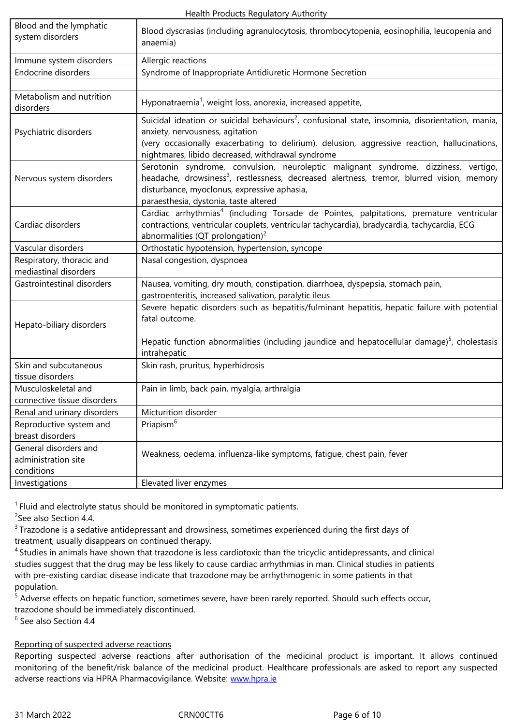|                                                            | anaemia)                                                                                                                                                                                                                                                                                            |  |
|------------------------------------------------------------|-----------------------------------------------------------------------------------------------------------------------------------------------------------------------------------------------------------------------------------------------------------------------------------------------------|--|
| Immune system disorders                                    | Allergic reactions                                                                                                                                                                                                                                                                                  |  |
| Endocrine disorders                                        | Syndrome of Inappropriate Antidiuretic Hormone Secretion                                                                                                                                                                                                                                            |  |
|                                                            |                                                                                                                                                                                                                                                                                                     |  |
| Metabolism and nutrition<br>disorders                      | Hyponatraemia <sup>1</sup> , weight loss, anorexia, increased appetite,                                                                                                                                                                                                                             |  |
| Psychiatric disorders                                      | Suicidal ideation or suicidal behaviours <sup>2</sup> , confusional state, insomnia, disorientation, mania,<br>anxiety, nervousness, agitation<br>(very occasionally exacerbating to delirium), delusion, aggressive reaction, hallucinations,<br>nightmares, libido decreased, withdrawal syndrome |  |
| Nervous system disorders                                   | Serotonin syndrome, convulsion, neuroleptic malignant syndrome, dizziness, vertigo,<br>headache, drowsiness <sup>3</sup> , restlessness, decreased alertness, tremor, blurred vision, memory<br>disturbance, myoclonus, expressive aphasia,<br>paraesthesia, dystonia, taste altered                |  |
| Cardiac disorders                                          | Cardiac arrhythmias <sup>4</sup> (including Torsade de Pointes, palpitations, premature ventricular<br>contractions, ventricular couplets, ventricular tachycardia), bradycardia, tachycardia, ECG<br>abnormalities (QT prolongation) <sup>2</sup>                                                  |  |
| Vascular disorders                                         | Orthostatic hypotension, hypertension, syncope                                                                                                                                                                                                                                                      |  |
| Respiratory, thoracic and                                  | Nasal congestion, dyspnoea                                                                                                                                                                                                                                                                          |  |
| mediastinal disorders                                      |                                                                                                                                                                                                                                                                                                     |  |
| Gastrointestinal disorders                                 | Nausea, vomiting, dry mouth, constipation, diarrhoea, dyspepsia, stomach pain,                                                                                                                                                                                                                      |  |
|                                                            | gastroenteritis, increased salivation, paralytic ileus                                                                                                                                                                                                                                              |  |
| Hepato-biliary disorders                                   | Severe hepatic disorders such as hepatitis/fulminant hepatitis, hepatic failure with potential<br>fatal outcome.                                                                                                                                                                                    |  |
|                                                            | Hepatic function abnormalities (including jaundice and hepatocellular damage) $5$ , cholestasis<br>intrahepatic                                                                                                                                                                                     |  |
| Skin and subcutaneous                                      | Skin rash, pruritus, hyperhidrosis                                                                                                                                                                                                                                                                  |  |
| tissue disorders                                           |                                                                                                                                                                                                                                                                                                     |  |
| Musculoskeletal and                                        | Pain in limb, back pain, myalgia, arthralgia                                                                                                                                                                                                                                                        |  |
| connective tissue disorders                                |                                                                                                                                                                                                                                                                                                     |  |
| Renal and urinary disorders                                | Micturition disorder                                                                                                                                                                                                                                                                                |  |
| Reproductive system and                                    | Priapism <sup>6</sup>                                                                                                                                                                                                                                                                               |  |
| breast disorders                                           |                                                                                                                                                                                                                                                                                                     |  |
| General disorders and<br>administration site<br>conditions | Weakness, oedema, influenza-like symptoms, fatique, chest pain, fever                                                                                                                                                                                                                               |  |
| Investigations                                             | Elevated liver enzymes                                                                                                                                                                                                                                                                              |  |

 $<sup>1</sup>$  Fluid and electrolyte status should be monitored in symptomatic patients.</sup> <sup>2</sup>See also Section 4.4.

<sup>3</sup> Trazodone is a sedative antidepressant and drowsiness, sometimes experienced during the first days of treatment, usually disappears on continued therapy.

<sup>4</sup> Studies in animals have shown that trazodone is less cardiotoxic than the tricyclic antidepressants, and clinical studies suggest that the drug may be less likely to cause cardiac arrhythmias in man. Clinical studies in patients with pre-existing cardiac disease indicate that trazodone may be arrhythmogenic in some patients in that population.

<sup>5</sup> Adverse effects on hepatic function, sometimes severe, have been rarely reported. Should such effects occur, trazodone should be immediately discontinued.

6 See also Section 4.4

## Reporting of suspected adverse reactions

Reporting suspected adverse reactions after authorisation of the medicinal product is important. It allows continued monitoring of the benefit/risk balance of the medicinal product. Healthcare professionals are asked to report any suspected adverse reactions via HPRA Pharmacovigilance. Website: www.hpra.ie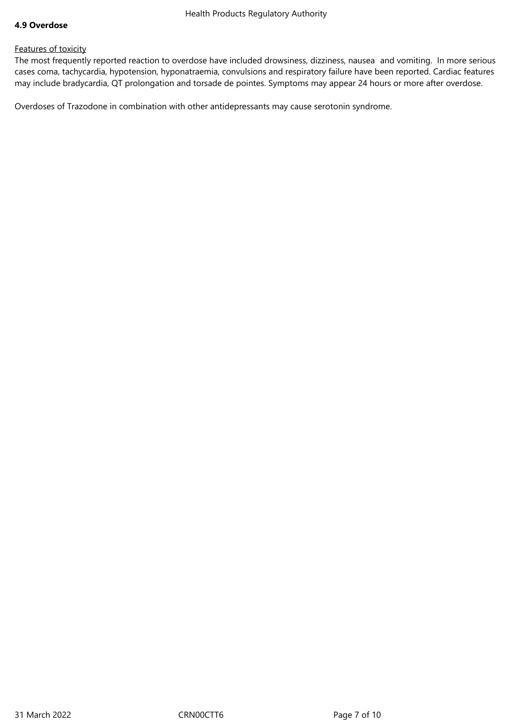#### **4.9 Overdose**

## Features of toxicity

The most frequently reported reaction to overdose have included drowsiness, dizziness, nausea and vomiting. In more serious cases coma, tachycardia, hypotension, hyponatraemia, convulsions and respiratory failure have been reported. Cardiac features may include bradycardia, QT prolongation and torsade de pointes. Symptoms may appear 24 hours or more after overdose.

Overdoses of Trazodone in combination with other antidepressants may cause serotonin syndrome.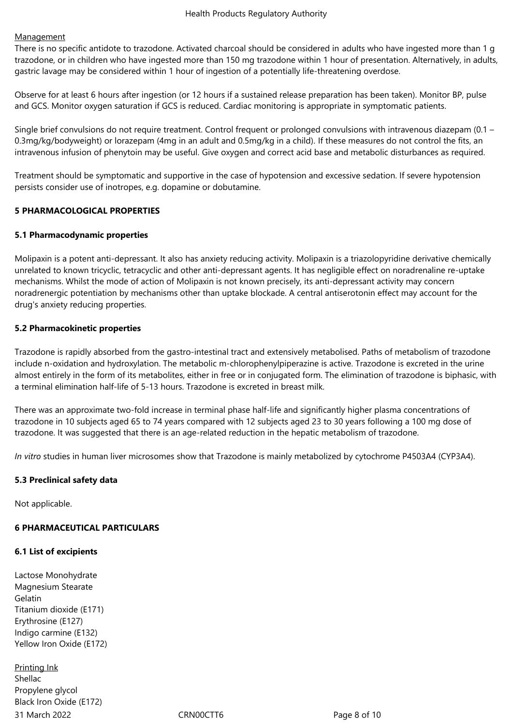## **Management**

There is no specific antidote to trazodone. Activated charcoal should be considered in adults who have ingested more than 1 g trazodone, or in children who have ingested more than 150 mg trazodone within 1 hour of presentation. Alternatively, in adults, gastric lavage may be considered within 1 hour of ingestion of a potentially life-threatening overdose.

Observe for at least 6 hours after ingestion (or 12 hours if a sustained release preparation has been taken). Monitor BP, pulse and GCS. Monitor oxygen saturation if GCS is reduced. Cardiac monitoring is appropriate in symptomatic patients.

Single brief convulsions do not require treatment. Control frequent or prolonged convulsions with intravenous diazepam (0.1 – 0.3mg/kg/bodyweight) or lorazepam (4mg in an adult and 0.5mg/kg in a child). If these measures do not control the fits, an intravenous infusion of phenytoin may be useful. Give oxygen and correct acid base and metabolic disturbances as required.

Treatment should be symptomatic and supportive in the case of hypotension and excessive sedation. If severe hypotension persists consider use of inotropes, e.g. dopamine or dobutamine.

## **5 PHARMACOLOGICAL PROPERTIES**

## **5.1 Pharmacodynamic properties**

Molipaxin is a potent anti-depressant. It also has anxiety reducing activity. Molipaxin is a triazolopyridine derivative chemically unrelated to known tricyclic, tetracyclic and other anti-depressant agents. It has negligible effect on noradrenaline re-uptake mechanisms. Whilst the mode of action of Molipaxin is not known precisely, its anti-depressant activity may concern noradrenergic potentiation by mechanisms other than uptake blockade. A central antiserotonin effect may account for the drug's anxiety reducing properties.

## **5.2 Pharmacokinetic properties**

Trazodone is rapidly absorbed from the gastro-intestinal tract and extensively metabolised. Paths of metabolism of trazodone include n-oxidation and hydroxylation. The metabolic m-chlorophenylpiperazine is active. Trazodone is excreted in the urine almost entirely in the form of its metabolites, either in free or in conjugated form. The elimination of trazodone is biphasic, with a terminal elimination half-life of 5-13 hours. Trazodone is excreted in breast milk.

There was an approximate two-fold increase in terminal phase half-life and significantly higher plasma concentrations of trazodone in 10 subjects aged 65 to 74 years compared with 12 subjects aged 23 to 30 years following a 100 mg dose of trazodone. It was suggested that there is an age-related reduction in the hepatic metabolism of trazodone.

*In vitro* studies in human liver microsomes show that Trazodone is mainly metabolized by cytochrome P4503A4 (CYP3A4).

## **5.3 Preclinical safety data**

Not applicable.

## **6 PHARMACEUTICAL PARTICULARS**

#### **6.1 List of excipients**

Lactose Monohydrate Magnesium Stearate Gelatin Titanium dioxide (E171) Erythrosine (E127) Indigo carmine (E132) Yellow Iron Oxide (E172)

31 March 2022 **CRNOOCTT6** CRNOOCTT6 Page 8 of 10 Printing Ink Shellac Propylene glycol Black Iron Oxide (E172)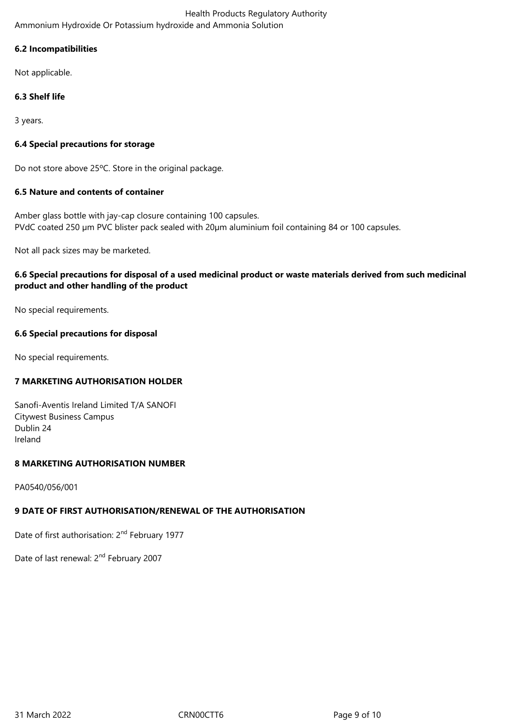Health Products Regulatory Authority Ammonium Hydroxide Or Potassium hydroxide and Ammonia Solution

## **6.2 Incompatibilities**

Not applicable.

# **6.3 Shelf life**

3 years.

# **6.4 Special precautions for storage**

Do not store above 25ºC. Store in the original package.

# **6.5 Nature and contents of container**

Amber glass bottle with jay-cap closure containing 100 capsules. PVdC coated 250 µm PVC blister pack sealed with 20µm aluminium foil containing 84 or 100 capsules.

Not all pack sizes may be marketed.

# **6.6 Special precautions for disposal of a used medicinal product or waste materials derived from such medicinal product and other handling of the product**

No special requirements.

## **6.6 Special precautions for disposal**

No special requirements.

## **7 MARKETING AUTHORISATION HOLDER**

Sanofi-Aventis Ireland Limited T/A SANOFI Citywest Business Campus Dublin 24 Ireland

## **8 MARKETING AUTHORISATION NUMBER**

PA0540/056/001

# **9 DATE OF FIRST AUTHORISATION/RENEWAL OF THE AUTHORISATION**

Date of first authorisation: 2<sup>nd</sup> February 1977

Date of last renewal: 2<sup>nd</sup> February 2007